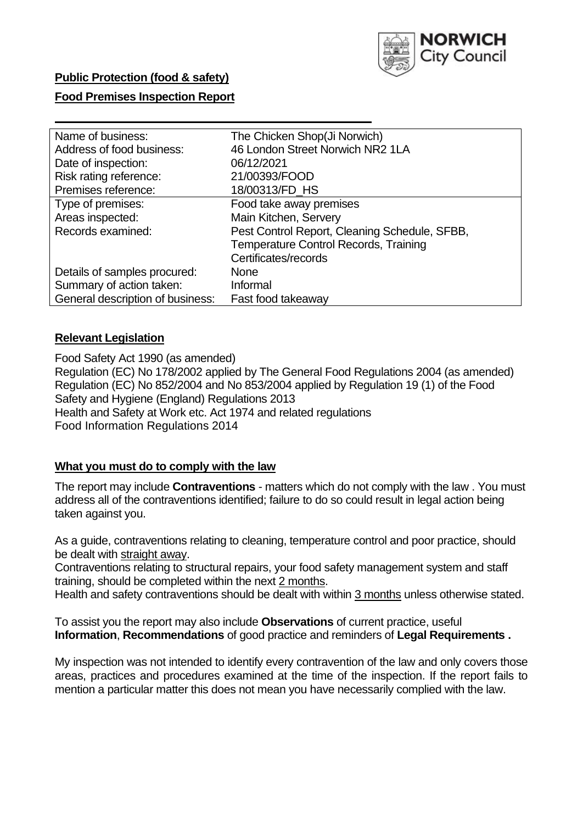

### **Public Protection (food & safety)**

### **Food Premises Inspection Report**

| The Chicken Shop(Ji Norwich)                  |
|-----------------------------------------------|
| 46 London Street Norwich NR2 1LA              |
| 06/12/2021                                    |
| 21/00393/FOOD                                 |
| 18/00313/FD_HS                                |
| Food take away premises                       |
| Main Kitchen, Servery                         |
| Pest Control Report, Cleaning Schedule, SFBB, |
| <b>Temperature Control Records, Training</b>  |
| Certificates/records                          |
| None                                          |
| Informal                                      |
| Fast food takeaway                            |
|                                               |

## **Relevant Legislation**

 Food Safety Act 1990 (as amended) Regulation (EC) No 178/2002 applied by The General Food Regulations 2004 (as amended) Regulation (EC) No 852/2004 and No 853/2004 applied by Regulation 19 (1) of the Food Safety and Hygiene (England) Regulations 2013 Health and Safety at Work etc. Act 1974 and related regulations Food Information Regulations 2014

### **What you must do to comply with the law**

 The report may include **Contraventions** - matters which do not comply with the law . You must address all of the contraventions identified; failure to do so could result in legal action being taken against you.

 As a guide, contraventions relating to cleaning, temperature control and poor practice, should be dealt with straight away.

 Contraventions relating to structural repairs, your food safety management system and staff training, should be completed within the next 2 months.

Health and safety contraventions should be dealt with within 3 months unless otherwise stated.

 To assist you the report may also include **Observations** of current practice, useful **Information**, **Recommendations** of good practice and reminders of **Legal Requirements .** 

 My inspection was not intended to identify every contravention of the law and only covers those areas, practices and procedures examined at the time of the inspection. If the report fails to mention a particular matter this does not mean you have necessarily complied with the law.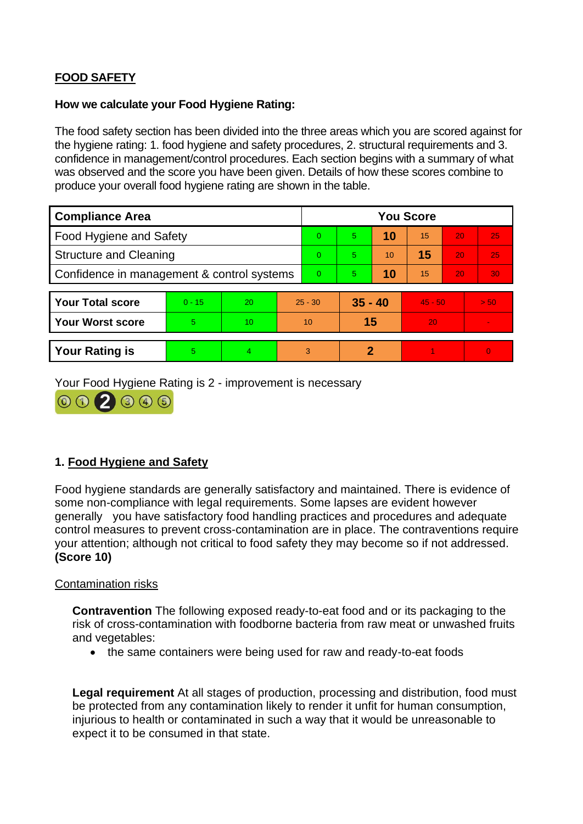# **FOOD SAFETY**

### **How we calculate your Food Hygiene Rating:**

 The food safety section has been divided into the three areas which you are scored against for the hygiene rating: 1. food hygiene and safety procedures, 2. structural requirements and 3. confidence in management/control procedures. Each section begins with a summary of what was observed and the score you have been given. Details of how these scores combine to produce your overall food hygiene rating are shown in the table.

| <b>Compliance Area</b>                     |          |                  |  | <b>You Score</b> |                |    |           |    |                |  |
|--------------------------------------------|----------|------------------|--|------------------|----------------|----|-----------|----|----------------|--|
| Food Hygiene and Safety                    |          |                  |  | $\Omega$         | $\overline{5}$ | 10 | 15        | 20 | 25             |  |
| <b>Structure and Cleaning</b>              |          |                  |  | $\Omega$         | 5              | 10 | 15        | 20 | 25             |  |
| Confidence in management & control systems |          |                  |  | $\overline{0}$   | 5              | 10 | 15        | 20 | 30             |  |
|                                            |          |                  |  |                  |                |    |           |    |                |  |
| <b>Your Total score</b>                    | $0 - 15$ | 20               |  | $25 - 30$        | $35 - 40$      |    | $45 - 50$ |    | > 50           |  |
| <b>Your Worst score</b>                    | 5        | 10 <sup>10</sup> |  | 10               | 15             |    | 20        |    | $\sim$         |  |
|                                            |          |                  |  |                  |                |    |           |    |                |  |
| <b>Your Rating is</b>                      | 5        | 4                |  | 3                | 2              |    |           |    | $\overline{0}$ |  |

Your Food Hygiene Rating is 2 - improvement is necessary



# **1. Food Hygiene and Safety**

 generally you have satisfactory food handling practices and procedures and adequate Food hygiene standards are generally satisfactory and maintained. There is evidence of some non-compliance with legal requirements. Some lapses are evident however control measures to prevent cross-contamination are in place. The contraventions require your attention; although not critical to food safety they may become so if not addressed. **(Score 10)** 

### Contamination risks

**Contravention** The following exposed ready-to-eat food and or its packaging to the risk of cross-contamination with foodborne bacteria from raw meat or unwashed fruits and vegetables:

• the same containers were being used for raw and ready-to-eat foods

 injurious to health or contaminated in such a way that it would be unreasonable to **Legal requirement** At all stages of production, processing and distribution, food must be protected from any contamination likely to render it unfit for human consumption, expect it to be consumed in that state.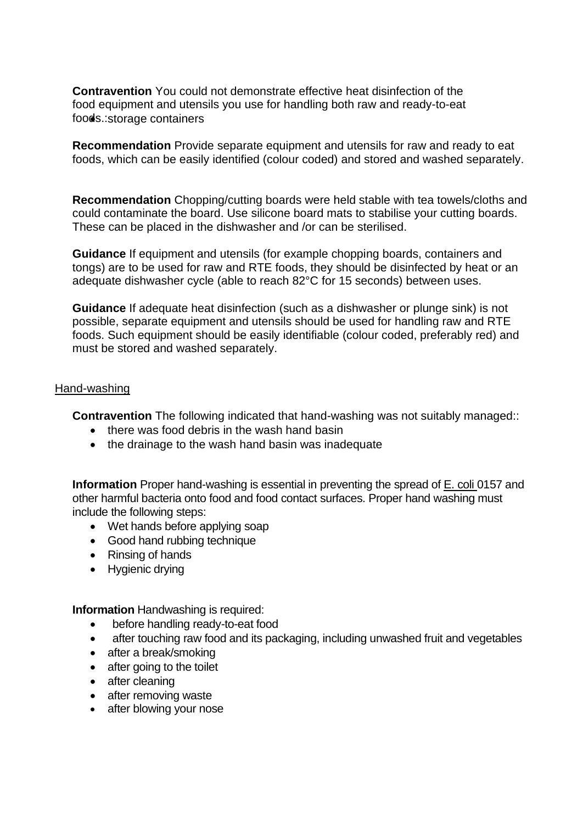**Contravention** You could not demonstrate effective heat disinfection of the food equipment and utensils you use for handling both raw and ready-to-eat foods.: storage containers

 foods, which can be easily identified (colour coded) and stored and washed separately. **Recommendation** Provide separate equipment and utensils for raw and ready to eat

 These can be placed in the dishwasher and /or can be sterilised. **Recommendation** Chopping/cutting boards were held stable with tea towels/cloths and could contaminate the board. Use silicone board mats to stabilise your cutting boards.

**Guidance** If equipment and utensils (for example chopping boards, containers and tongs) are to be used for raw and RTE foods, they should be disinfected by heat or an adequate dishwasher cycle (able to reach 82°C for 15 seconds) between uses.

 **Guidance** If adequate heat disinfection (such as a dishwasher or plunge sink) is not possible, separate equipment and utensils should be used for handling raw and RTE foods. Such equipment should be easily identifiable (colour coded, preferably red) and must be stored and washed separately.

### Hand-washing

**Contravention** The following indicated that hand-washing was not suitably managed::

- there was food debris in the wash hand basin
- the drainage to the wash hand basin was inadequate

 **Information** Proper hand-washing is essential in preventing the spread of E. coli 0157 and other harmful bacteria onto food and food contact surfaces. Proper hand washing must include the following steps:

- Wet hands before applying soap
- Good hand rubbing technique
- Rinsing of hands
- Hygienic drying

**Information** Handwashing is required:

- before handling ready-to-eat food
- after touching raw food and its packaging, including unwashed fruit and vegetables
- after a break/smoking
- after going to the toilet
- after cleaning
- after removing waste
- after blowing your nose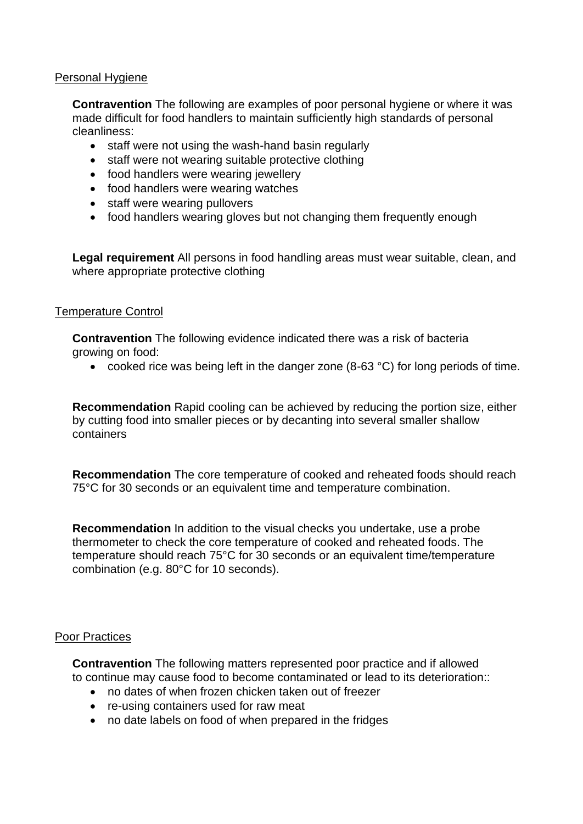### Personal Hygiene

 made difficult for food handlers to maintain sufficiently high standards of personal **Contravention** The following are examples of poor personal hygiene or where it was cleanliness:

- staff were not using the wash-hand basin regularly
- staff were not wearing suitable protective clothing
- food handlers were wearing jewellery
- food handlers were wearing watches
- staff were wearing pullovers
- food handlers wearing gloves but not changing them frequently enough

**Legal requirement** All persons in food handling areas must wear suitable, clean, and where appropriate protective clothing

### Temperature Control

 **Contravention** The following evidence indicated there was a risk of bacteria growing on food:

• cooked rice was being left in the danger zone (8-63 °C) for long periods of time.

**Recommendation** Rapid cooling can be achieved by reducing the portion size, either by cutting food into smaller pieces or by decanting into several smaller shallow containers

**Recommendation** The core temperature of cooked and reheated foods should reach 75°C for 30 seconds or an equivalent time and temperature combination.

**Recommendation** In addition to the visual checks you undertake, use a probe thermometer to check the core temperature of cooked and reheated foods. The temperature should reach 75°C for 30 seconds or an equivalent time/temperature combination (e.g. 80°C for 10 seconds).

#### Poor Practices

 **Contravention** The following matters represented poor practice and if allowed to continue may cause food to become contaminated or lead to its deterioration::

- no dates of when frozen chicken taken out of freezer
- re-using containers used for raw meat
- no date labels on food of when prepared in the fridges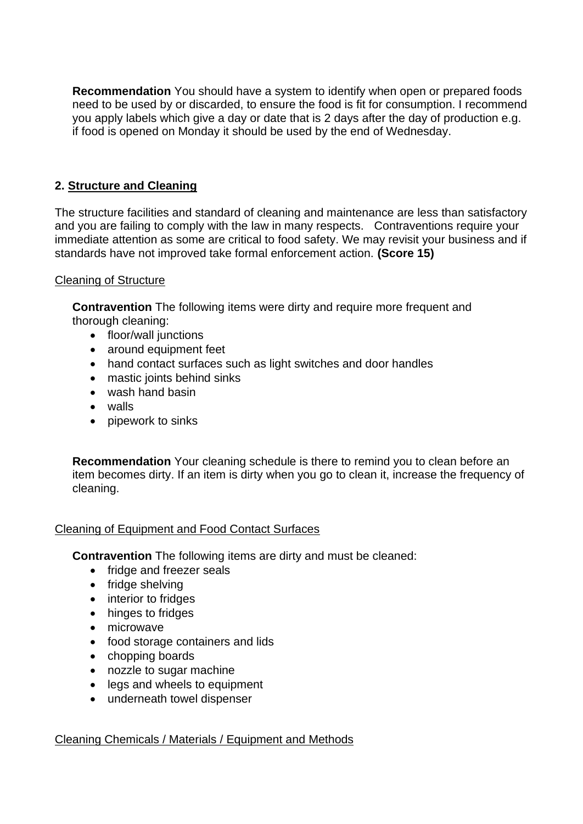you apply labels which give a day or date that is 2 days after the day of production e.g. **Recommendation** You should have a system to identify when open or prepared foods need to be used by or discarded, to ensure the food is fit for consumption. I recommend if food is opened on Monday it should be used by the end of Wednesday.

# **2. Structure and Cleaning**

 and you are failing to comply with the law in many respects. Contraventions require your The structure facilities and standard of cleaning and maintenance are less than satisfactory immediate attention as some are critical to food safety. We may revisit your business and if standards have not improved take formal enforcement action. **(Score 15)** 

## Cleaning of Structure

**Contravention** The following items were dirty and require more frequent and thorough cleaning:

- floor/wall junctions
- around equipment feet
- hand contact surfaces such as light switches and door handles
- mastic joints behind sinks
- wash hand basin
- walls
- pipework to sinks

 **Recommendation** Your cleaning schedule is there to remind you to clean before an item becomes dirty. If an item is dirty when you go to clean it, increase the frequency of cleaning.

# Cleaning of Equipment and Food Contact Surfaces

**Contravention** The following items are dirty and must be cleaned:

- fridge and freezer seals
- fridge shelving
- interior to fridges
- hinges to fridges
- microwave
- food storage containers and lids
- chopping boards
- nozzle to sugar machine
- legs and wheels to equipment
- underneath towel dispenser

# Cleaning Chemicals / Materials / Equipment and Methods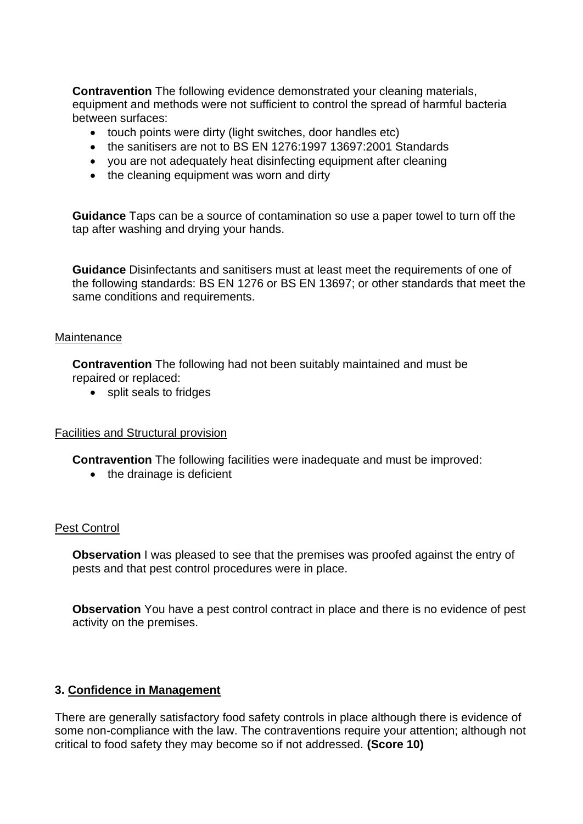**Contravention** The following evidence demonstrated your cleaning materials, equipment and methods were not sufficient to control the spread of harmful bacteria between surfaces:

- touch points were dirty (light switches, door handles etc)
- the sanitisers are not to BS EN 1276:1997 13697:2001 Standards
- you are not adequately heat disinfecting equipment after cleaning
- the cleaning equipment was worn and dirty

**Guidance** Taps can be a source of contamination so use a paper towel to turn off the tap after washing and drying your hands.

 the following standards: BS EN 1276 or BS EN 13697; or other standards that meet the **Guidance** Disinfectants and sanitisers must at least meet the requirements of one of same conditions and requirements.

#### **Maintenance**

**Contravention** The following had not been suitably maintained and must be repaired or replaced:

• split seals to fridges

#### Facilities and Structural provision

**Contravention** The following facilities were inadequate and must be improved:

• the drainage is deficient

#### Pest Control

**Observation** I was pleased to see that the premises was proofed against the entry of pests and that pest control procedures were in place.

 **Observation** You have a pest control contract in place and there is no evidence of pest activity on the premises.

#### **3. Confidence in Management**

 There are generally satisfactory food safety controls in place although there is evidence of some non-compliance with the law. The contraventions require your attention; although not critical to food safety they may become so if not addressed. **(Score 10)**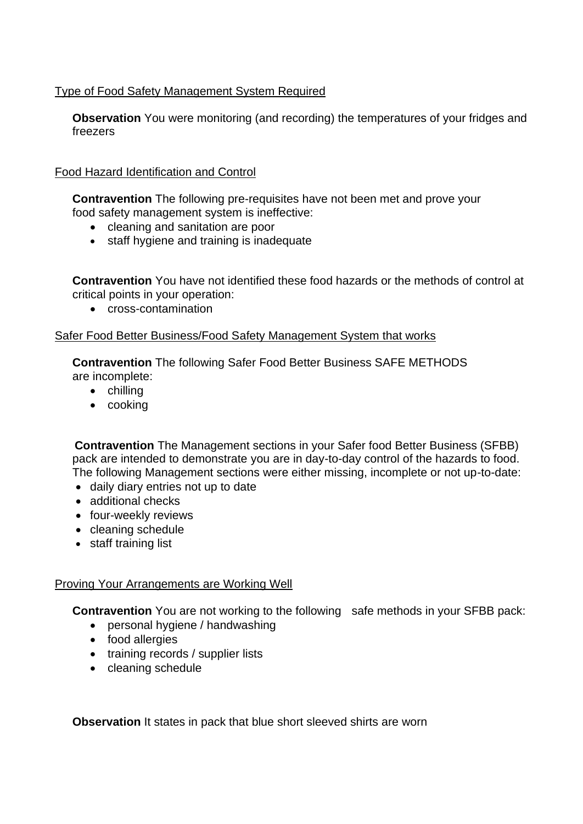### Type of Food Safety Management System Required

**Observation** You were monitoring (and recording) the temperatures of your fridges and freezers

### Food Hazard Identification and Control

 **Contravention** The following pre-requisites have not been met and prove your food safety management system is ineffective:

- cleaning and sanitation are poor
- staff hygiene and training is inadequate

**Contravention** You have not identified these food hazards or the methods of control at critical points in your operation:

• cross-contamination

### Safer Food Better Business/Food Safety Management System that works

**Contravention** The following Safer Food Better Business SAFE METHODS are incomplete:

- chilling
- cooking

**Contravention** The Management sections in your Safer food Better Business (SFBB) pack are intended to demonstrate you are in day-to-day control of the hazards to food. The following Management sections were either missing, incomplete or not up-to-date:

- daily diary entries not up to date
- additional checks
- four-weekly reviews
- cleaning schedule
- staff training list

### Proving Your Arrangements are Working Well

**Contravention** You are not working to the following safe methods in your SFBB pack:

- personal hygiene / handwashing
- food allergies
- training records / supplier lists
- cleaning schedule

**Observation** It states in pack that blue short sleeved shirts are worn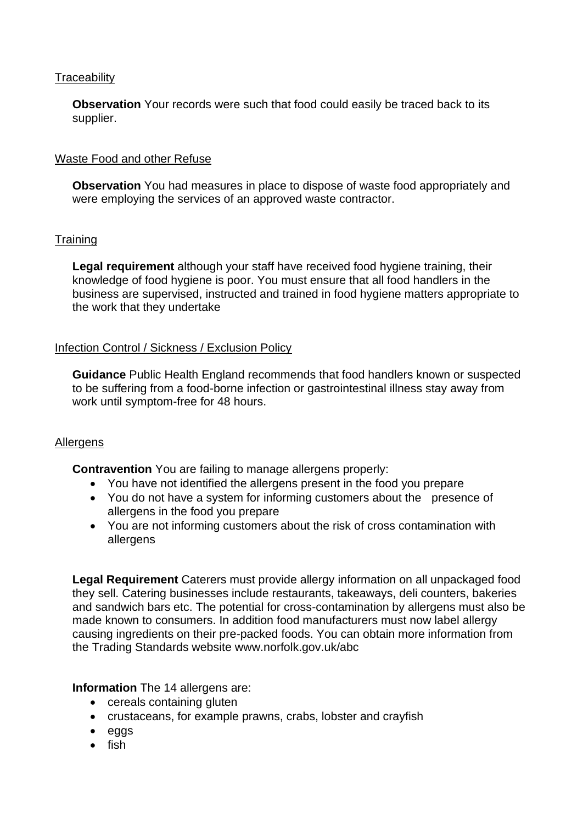### **Traceability**

**Observation** Your records were such that food could easily be traced back to its supplier.

## Waste Food and other Refuse

 **Observation** You had measures in place to dispose of waste food appropriately and were employing the services of an approved waste contractor.

### **Training**

**Legal requirement** although your staff have received food hygiene training, their knowledge of food hygiene is poor. You must ensure that all food handlers in the business are supervised, instructed and trained in food hygiene matters appropriate to the work that they undertake

## Infection Control / Sickness / Exclusion Policy

**Guidance** Public Health England recommends that food handlers known or suspected to be suffering from a food-borne infection or gastrointestinal illness stay away from work until symptom-free for 48 hours.

# Allergens

**Contravention** You are failing to manage allergens properly:

- You have not identified the allergens present in the food you prepare
- You do not have a system for informing customers about the presence of allergens in the food you prepare
- You are not informing customers about the risk of cross contamination with allergens

 **Legal Requirement** Caterers must provide allergy information on all unpackaged food they sell. Catering businesses include restaurants, takeaways, deli counters, bakeries causing ingredients on their pre-packed foods. You can obtain more information from the Trading Standards website<www.norfolk.gov.uk/abc> and sandwich bars etc. The potential for cross-contamination by allergens must also be made known to consumers. In addition food manufacturers must now label allergy

### **Information** The 14 allergens are:

- cereals containing gluten
- crustaceans, for example prawns, crabs, lobster and crayfish
- eggs
- fish